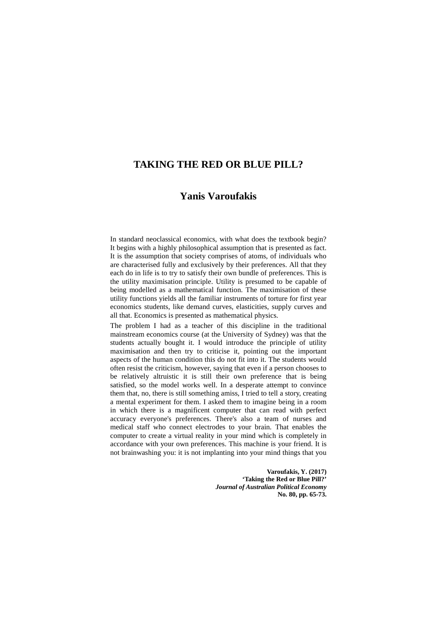## **Yanis Varoufakis**

In standard neoclassical economics, with what does the textbook begin? It begins with a highly philosophical assumption that is presented as fact. It is the assumption that society comprises of atoms, of individuals who are characterised fully and exclusively by their preferences. All that they each do in life is to try to satisfy their own bundle of preferences. This is the utility maximisation principle. Utility is presumed to be capable of being modelled as a mathematical function. The maximisation of these utility functions yields all the familiar instruments of torture for first year economics students, like demand curves, elasticities, supply curves and all that. Economics is presented as mathematical physics.

The problem I had as a teacher of this discipline in the traditional mainstream economics course (at the University of Sydney) was that the students actually bought it. I would introduce the principle of utility maximisation and then try to criticise it, pointing out the important aspects of the human condition this do not fit into it. The students would often resist the criticism, however, saying that even if a person chooses to be relatively altruistic it is still their own preference that is being satisfied, so the model works well. In a desperate attempt to convince them that, no, there is still something amiss, I tried to tell a story, creating a mental experiment for them. I asked them to imagine being in a room in which there is a magnificent computer that can read with perfect accuracy everyone's preferences. There's also a team of nurses and medical staff who connect electrodes to your brain. That enables the computer to create a virtual reality in your mind which is completely in accordance with your own preferences. This machine is your friend. It is not brainwashing you: it is not implanting into your mind things that you

> **Varoufakis, Y. (2017) 'Taking the Red or Blue Pill?'**  *Journal of Australian Political Economy* **No. 80, pp. 65-73.**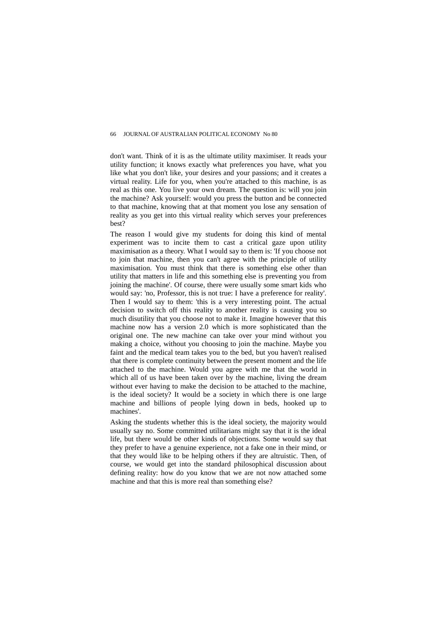don't want. Think of it is as the ultimate utility maximiser. It reads your utility function; it knows exactly what preferences you have, what you like what you don't like, your desires and your passions; and it creates a virtual reality. Life for you, when you're attached to this machine, is as real as this one. You live your own dream. The question is: will you join the machine? Ask yourself: would you press the button and be connected to that machine, knowing that at that moment you lose any sensation of reality as you get into this virtual reality which serves your preferences best?

The reason I would give my students for doing this kind of mental experiment was to incite them to cast a critical gaze upon utility maximisation as a theory. What I would say to them is: 'If you choose not to join that machine, then you can't agree with the principle of utility maximisation. You must think that there is something else other than utility that matters in life and this something else is preventing you from joining the machine'. Of course, there were usually some smart kids who would say: 'no, Professor, this is not true: I have a preference for reality'. Then I would say to them: 'this is a very interesting point. The actual decision to switch off this reality to another reality is causing you so much disutility that you choose not to make it. Imagine however that this machine now has a version 2.0 which is more sophisticated than the original one. The new machine can take over your mind without you making a choice, without you choosing to join the machine. Maybe you faint and the medical team takes you to the bed, but you haven't realised that there is complete continuity between the present moment and the life attached to the machine. Would you agree with me that the world in which all of us have been taken over by the machine, living the dream without ever having to make the decision to be attached to the machine, is the ideal society? It would be a society in which there is one large machine and billions of people lying down in beds, hooked up to machines'.

Asking the students whether this is the ideal society, the majority would usually say no. Some committed utilitarians might say that it is the ideal life, but there would be other kinds of objections. Some would say that they prefer to have a genuine experience, not a fake one in their mind, or that they would like to be helping others if they are altruistic. Then, of course, we would get into the standard philosophical discussion about defining reality: how do you know that we are not now attached some machine and that this is more real than something else?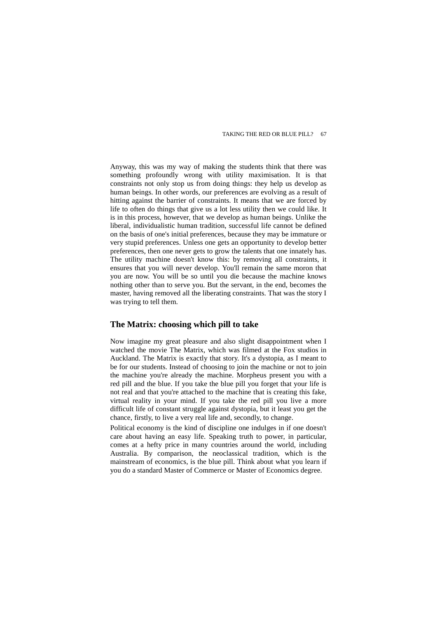Anyway, this was my way of making the students think that there was something profoundly wrong with utility maximisation. It is that constraints not only stop us from doing things: they help us develop as human beings. In other words, our preferences are evolving as a result of hitting against the barrier of constraints. It means that we are forced by life to often do things that give us a lot less utility then we could like. It is in this process, however, that we develop as human beings. Unlike the liberal, individualistic human tradition, successful life cannot be defined on the basis of one's initial preferences, because they may be immature or very stupid preferences. Unless one gets an opportunity to develop better preferences, then one never gets to grow the talents that one innately has. The utility machine doesn't know this: by removing all constraints, it ensures that you will never develop. You'll remain the same moron that you are now. You will be so until you die because the machine knows nothing other than to serve you. But the servant, in the end, becomes the master, having removed all the liberating constraints. That was the story I was trying to tell them.

## **The Matrix: choosing which pill to take**

Now imagine my great pleasure and also slight disappointment when I watched the movie The Matrix, which was filmed at the Fox studios in Auckland. The Matrix is exactly that story. It's a dystopia, as I meant to be for our students. Instead of choosing to join the machine or not to join the machine you're already the machine. Morpheus present you with a red pill and the blue. If you take the blue pill you forget that your life is not real and that you're attached to the machine that is creating this fake, virtual reality in your mind. If you take the red pill you live a more difficult life of constant struggle against dystopia, but it least you get the chance, firstly, to live a very real life and, secondly, to change.

Political economy is the kind of discipline one indulges in if one doesn't care about having an easy life. Speaking truth to power, in particular, comes at a hefty price in many countries around the world, including Australia. By comparison, the neoclassical tradition, which is the mainstream of economics, is the blue pill. Think about what you learn if you do a standard Master of Commerce or Master of Economics degree.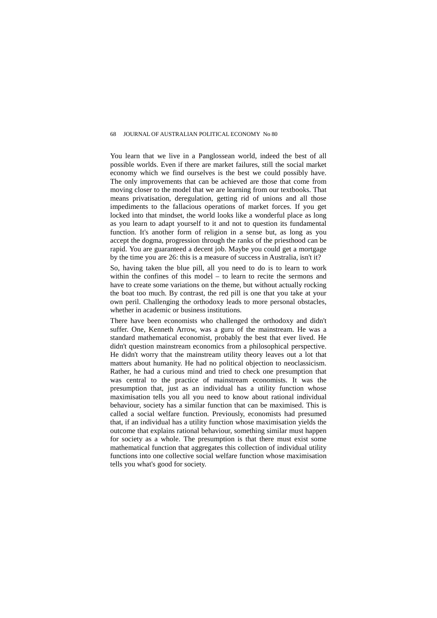You learn that we live in a Panglossean world, indeed the best of all possible worlds. Even if there are market failures, still the social market economy which we find ourselves is the best we could possibly have. The only improvements that can be achieved are those that come from moving closer to the model that we are learning from our textbooks. That means privatisation, deregulation, getting rid of unions and all those impediments to the fallacious operations of market forces. If you get locked into that mindset, the world looks like a wonderful place as long as you learn to adapt yourself to it and not to question its fundamental function. It's another form of religion in a sense but, as long as you accept the dogma, progression through the ranks of the priesthood can be rapid. You are guaranteed a decent job. Maybe you could get a mortgage by the time you are 26: this is a measure of success in Australia, isn't it?

So, having taken the blue pill, all you need to do is to learn to work within the confines of this model – to learn to recite the sermons and have to create some variations on the theme, but without actually rocking the boat too much. By contrast, the red pill is one that you take at your own peril. Challenging the orthodoxy leads to more personal obstacles, whether in academic or business institutions.

There have been economists who challenged the orthodoxy and didn't suffer. One, Kenneth Arrow, was a guru of the mainstream. He was a standard mathematical economist, probably the best that ever lived. He didn't question mainstream economics from a philosophical perspective. He didn't worry that the mainstream utility theory leaves out a lot that matters about humanity. He had no political objection to neoclassicism. Rather, he had a curious mind and tried to check one presumption that was central to the practice of mainstream economists. It was the presumption that, just as an individual has a utility function whose maximisation tells you all you need to know about rational individual behaviour, society has a similar function that can be maximised. This is called a social welfare function. Previously, economists had presumed that, if an individual has a utility function whose maximisation yields the outcome that explains rational behaviour, something similar must happen for society as a whole. The presumption is that there must exist some mathematical function that aggregates this collection of individual utility functions into one collective social welfare function whose maximisation tells you what's good for society.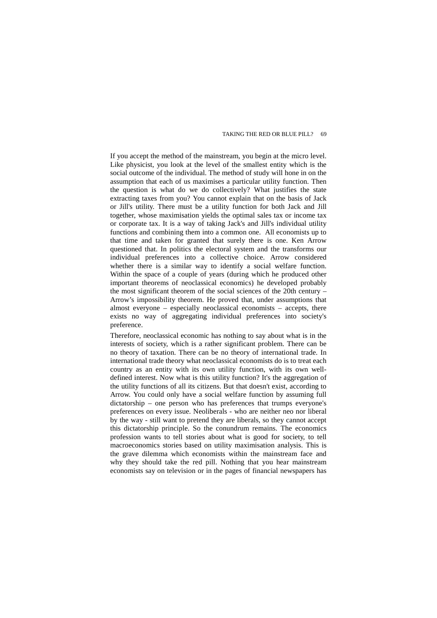If you accept the method of the mainstream, you begin at the micro level. Like physicist, you look at the level of the smallest entity which is the social outcome of the individual. The method of study will hone in on the assumption that each of us maximises a particular utility function. Then the question is what do we do collectively? What justifies the state extracting taxes from you? You cannot explain that on the basis of Jack or Jill's utility. There must be a utility function for both Jack and Jill together, whose maximisation yields the optimal sales tax or income tax or corporate tax. It is a way of taking Jack's and Jill's individual utility functions and combining them into a common one. All economists up to that time and taken for granted that surely there is one. Ken Arrow questioned that. In politics the electoral system and the transforms our individual preferences into a collective choice. Arrow considered whether there is a similar way to identify a social welfare function. Within the space of a couple of years (during which he produced other important theorems of neoclassical economics) he developed probably the most significant theorem of the social sciences of the 20th century – Arrow's impossibility theorem. He proved that, under assumptions that almost everyone – especially neoclassical economists – accepts, there exists no way of aggregating individual preferences into society's preference.

Therefore, neoclassical economic has nothing to say about what is in the interests of society, which is a rather significant problem. There can be no theory of taxation. There can be no theory of international trade. In international trade theory what neoclassical economists do is to treat each country as an entity with its own utility function, with its own welldefined interest. Now what is this utility function? It's the aggregation of the utility functions of all its citizens. But that doesn't exist, according to Arrow. You could only have a social welfare function by assuming full dictatorship – one person who has preferences that trumps everyone's preferences on every issue. Neoliberals - who are neither neo nor liberal by the way - still want to pretend they are liberals, so they cannot accept this dictatorship principle. So the conundrum remains. The economics profession wants to tell stories about what is good for society, to tell macroeconomics stories based on utility maximisation analysis. This is the grave dilemma which economists within the mainstream face and why they should take the red pill. Nothing that you hear mainstream economists say on television or in the pages of financial newspapers has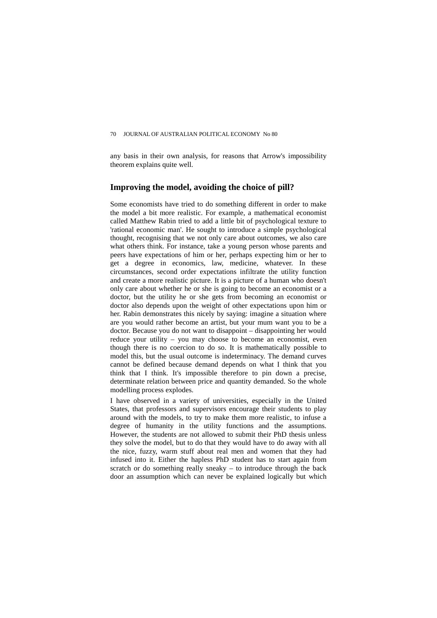any basis in their own analysis, for reasons that Arrow's impossibility theorem explains quite well.

## **Improving the model, avoiding the choice of pill?**

Some economists have tried to do something different in order to make the model a bit more realistic. For example, a mathematical economist called Matthew Rabin tried to add a little bit of psychological texture to 'rational economic man'. He sought to introduce a simple psychological thought, recognising that we not only care about outcomes, we also care what others think. For instance, take a young person whose parents and peers have expectations of him or her, perhaps expecting him or her to get a degree in economics, law, medicine, whatever. In these circumstances, second order expectations infiltrate the utility function and create a more realistic picture. It is a picture of a human who doesn't only care about whether he or she is going to become an economist or a doctor, but the utility he or she gets from becoming an economist or doctor also depends upon the weight of other expectations upon him or her. Rabin demonstrates this nicely by saying: imagine a situation where are you would rather become an artist, but your mum want you to be a doctor. Because you do not want to disappoint – disappointing her would reduce your utility – you may choose to become an economist, even though there is no coercion to do so. It is mathematically possible to model this, but the usual outcome is indeterminacy. The demand curves cannot be defined because demand depends on what I think that you think that I think. It's impossible therefore to pin down a precise, determinate relation between price and quantity demanded. So the whole modelling process explodes.

I have observed in a variety of universities, especially in the United States, that professors and supervisors encourage their students to play around with the models, to try to make them more realistic, to infuse a degree of humanity in the utility functions and the assumptions. However, the students are not allowed to submit their PhD thesis unless they solve the model, but to do that they would have to do away with all the nice, fuzzy, warm stuff about real men and women that they had infused into it. Either the hapless PhD student has to start again from scratch or do something really sneaky – to introduce through the back door an assumption which can never be explained logically but which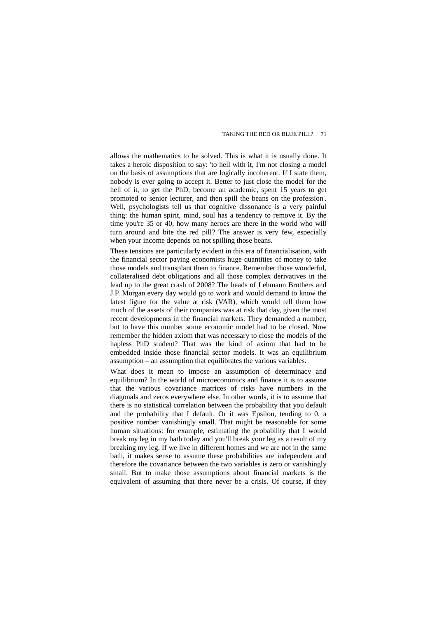allows the mathematics to be solved. This is what it is usually done. It takes a heroic disposition to say: 'to hell with it, I'm not closing a model on the basis of assumptions that are logically incoherent. If I state them, nobody is ever going to accept it. Better to just close the model for the hell of it, to get the PhD, become an academic, spent 15 years to get promoted to senior lecturer, and then spill the beans on the profession'. Well, psychologists tell us that cognitive dissonance is a very painful thing: the human spirit, mind, soul has a tendency to remove it. By the time you're 35 or 40, how many heroes are there in the world who will turn around and bite the red pill? The answer is very few, especially when your income depends on not spilling those beans.

These tensions are particularly evident in this era of financialisation, with the financial sector paying economists huge quantities of money to take those models and transplant them to finance. Remember those wonderful, collateralised debt obligations and all those complex derivatives in the lead up to the great crash of 2008? The heads of Lehmann Brothers and J.P. Morgan every day would go to work and would demand to know the latest figure for the value at risk (VAR), which would tell them how much of the assets of their companies was at risk that day, given the most recent developments in the financial markets. They demanded a number, but to have this number some economic model had to be closed. Now remember the hidden axiom that was necessary to close the models of the hapless PhD student? That was the kind of axiom that had to be embedded inside those financial sector models. It was an equilibrium assumption – an assumption that equilibrates the various variables.

What does it mean to impose an assumption of determinacy and equilibrium? In the world of microeconomics and finance it is to assume that the various covariance matrices of risks have numbers in the diagonals and zeros everywhere else. In other words, it is to assume that there is no statistical correlation between the probability that you default and the probability that I default. Or it was Epsilon, tending to 0, a positive number vanishingly small. That might be reasonable for some human situations: for example, estimating the probability that I would break my leg in my bath today and you'll break your leg as a result of my breaking my leg. If we live in different homes and we are not in the same bath, it makes sense to assume these probabilities are independent and therefore the covariance between the two variables is zero or vanishingly small. But to make those assumptions about financial markets is the equivalent of assuming that there never be a crisis. Of course, if they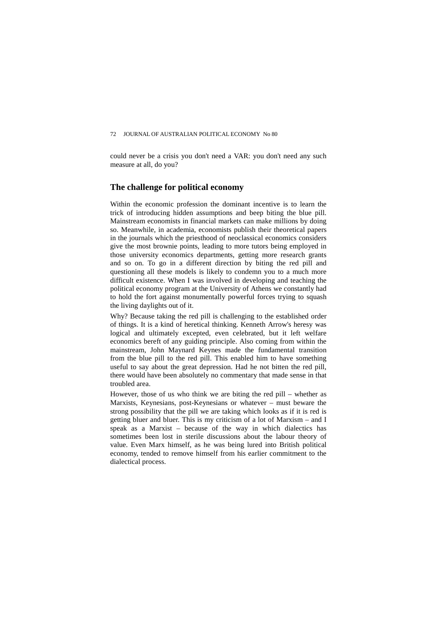could never be a crisis you don't need a VAR: you don't need any such measure at all, do you?

## **The challenge for political economy**

Within the economic profession the dominant incentive is to learn the trick of introducing hidden assumptions and beep biting the blue pill. Mainstream economists in financial markets can make millions by doing so. Meanwhile, in academia, economists publish their theoretical papers in the journals which the priesthood of neoclassical economics considers give the most brownie points, leading to more tutors being employed in those university economics departments, getting more research grants and so on. To go in a different direction by biting the red pill and questioning all these models is likely to condemn you to a much more difficult existence. When I was involved in developing and teaching the political economy program at the University of Athens we constantly had to hold the fort against monumentally powerful forces trying to squash the living daylights out of it.

Why? Because taking the red pill is challenging to the established order of things. It is a kind of heretical thinking. Kenneth Arrow's heresy was logical and ultimately excepted, even celebrated, but it left welfare economics bereft of any guiding principle. Also coming from within the mainstream, John Maynard Keynes made the fundamental transition from the blue pill to the red pill. This enabled him to have something useful to say about the great depression. Had he not bitten the red pill, there would have been absolutely no commentary that made sense in that troubled area.

However, those of us who think we are biting the red pill – whether as Marxists, Keynesians, post-Keynesians or whatever – must beware the strong possibility that the pill we are taking which looks as if it is red is getting bluer and bluer. This is my criticism of a lot of Marxism – and I speak as a Marxist – because of the way in which dialectics has sometimes been lost in sterile discussions about the labour theory of value. Even Marx himself, as he was being lured into British political economy, tended to remove himself from his earlier commitment to the dialectical process.